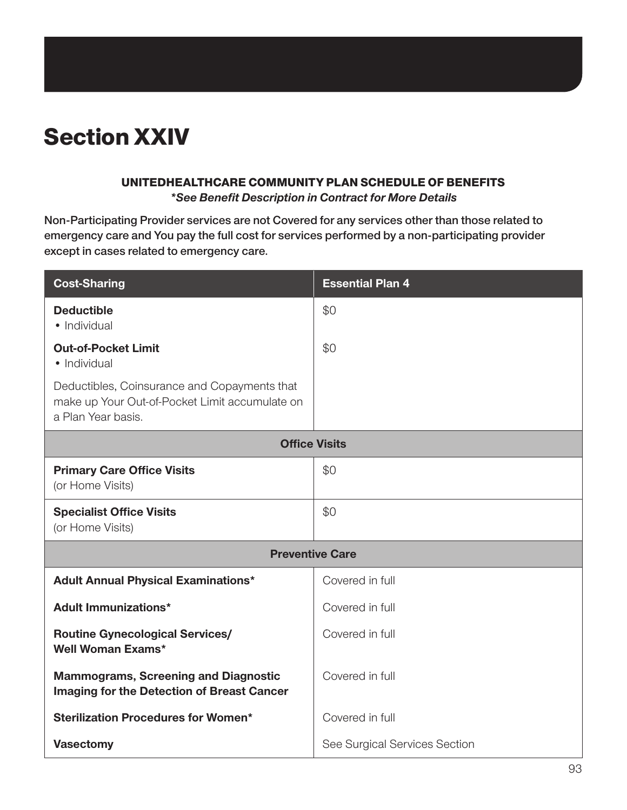# Section XXIV

#### UNITEDHEALTHCARE COMMUNITY PLAN SCHEDULE OF BENEFITS

*\*See Benefit Description in Contract for More Details*

**Non-Participating Provider services are not Covered for any services other than those related to emergency care and You pay the full cost for services performed by a non-participating provider except in cases related to emergency care.**

| <b>Cost-Sharing</b>                                                                                                  | <b>Essential Plan 4</b>       |  |
|----------------------------------------------------------------------------------------------------------------------|-------------------------------|--|
| <b>Deductible</b><br>• Individual                                                                                    | \$0                           |  |
| <b>Out-of-Pocket Limit</b><br>• Individual                                                                           | \$0                           |  |
| Deductibles, Coinsurance and Copayments that<br>make up Your Out-of-Pocket Limit accumulate on<br>a Plan Year basis. |                               |  |
| <b>Office Visits</b>                                                                                                 |                               |  |
| <b>Primary Care Office Visits</b><br>(or Home Visits)                                                                | \$0                           |  |
| <b>Specialist Office Visits</b><br>(or Home Visits)                                                                  | \$0                           |  |
| <b>Preventive Care</b>                                                                                               |                               |  |
| <b>Adult Annual Physical Examinations*</b>                                                                           | Covered in full               |  |
| <b>Adult Immunizations*</b>                                                                                          | Covered in full               |  |
| <b>Routine Gynecological Services/</b><br><b>Well Woman Exams*</b>                                                   | Covered in full               |  |
| <b>Mammograms, Screening and Diagnostic</b><br>Imaging for the Detection of Breast Cancer                            | Covered in full               |  |
| <b>Sterilization Procedures for Women*</b>                                                                           | Covered in full               |  |
| <b>Vasectomy</b>                                                                                                     | See Surgical Services Section |  |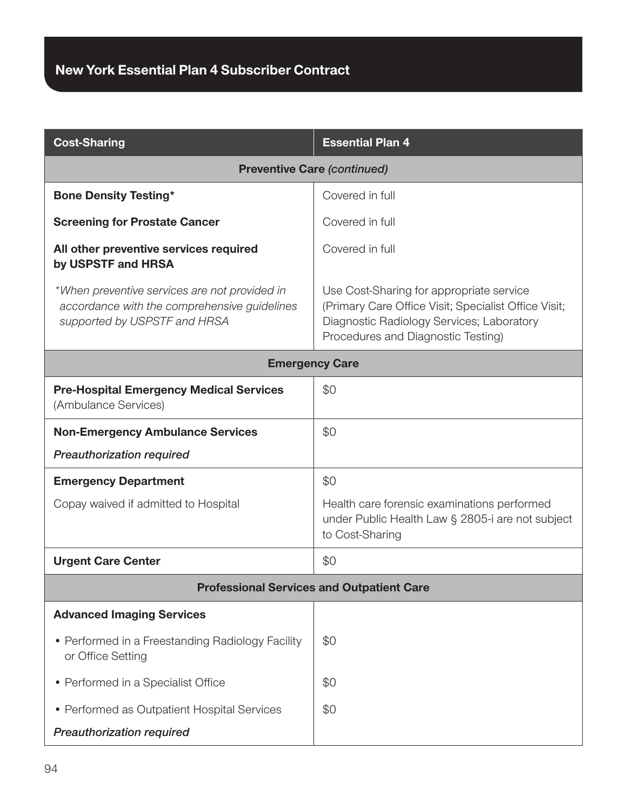| <b>Cost-Sharing</b>                                                                                                           | <b>Essential Plan 4</b>                                                                                                                                                             |  |
|-------------------------------------------------------------------------------------------------------------------------------|-------------------------------------------------------------------------------------------------------------------------------------------------------------------------------------|--|
| <b>Preventive Care (continued)</b>                                                                                            |                                                                                                                                                                                     |  |
| <b>Bone Density Testing*</b>                                                                                                  | Covered in full                                                                                                                                                                     |  |
| <b>Screening for Prostate Cancer</b>                                                                                          | Covered in full                                                                                                                                                                     |  |
| All other preventive services required<br>by USPSTF and HRSA                                                                  | Covered in full                                                                                                                                                                     |  |
| *When preventive services are not provided in<br>accordance with the comprehensive guidelines<br>supported by USPSTF and HRSA | Use Cost-Sharing for appropriate service<br>(Primary Care Office Visit; Specialist Office Visit;<br>Diagnostic Radiology Services; Laboratory<br>Procedures and Diagnostic Testing) |  |
| <b>Emergency Care</b>                                                                                                         |                                                                                                                                                                                     |  |
| <b>Pre-Hospital Emergency Medical Services</b><br>(Ambulance Services)                                                        | \$0                                                                                                                                                                                 |  |
| <b>Non-Emergency Ambulance Services</b>                                                                                       | \$0                                                                                                                                                                                 |  |
| <b>Preauthorization required</b>                                                                                              |                                                                                                                                                                                     |  |
| <b>Emergency Department</b>                                                                                                   | \$0                                                                                                                                                                                 |  |
| Copay waived if admitted to Hospital                                                                                          | Health care forensic examinations performed<br>under Public Health Law § 2805-i are not subject<br>to Cost-Sharing                                                                  |  |
| <b>Urgent Care Center</b>                                                                                                     | \$0                                                                                                                                                                                 |  |
| <b>Professional Services and Outpatient Care</b>                                                                              |                                                                                                                                                                                     |  |
| <b>Advanced Imaging Services</b>                                                                                              |                                                                                                                                                                                     |  |
| • Performed in a Freestanding Radiology Facility<br>or Office Setting                                                         | \$0                                                                                                                                                                                 |  |
| • Performed in a Specialist Office                                                                                            | \$0                                                                                                                                                                                 |  |
| • Performed as Outpatient Hospital Services                                                                                   | \$0                                                                                                                                                                                 |  |
| <b>Preauthorization required</b>                                                                                              |                                                                                                                                                                                     |  |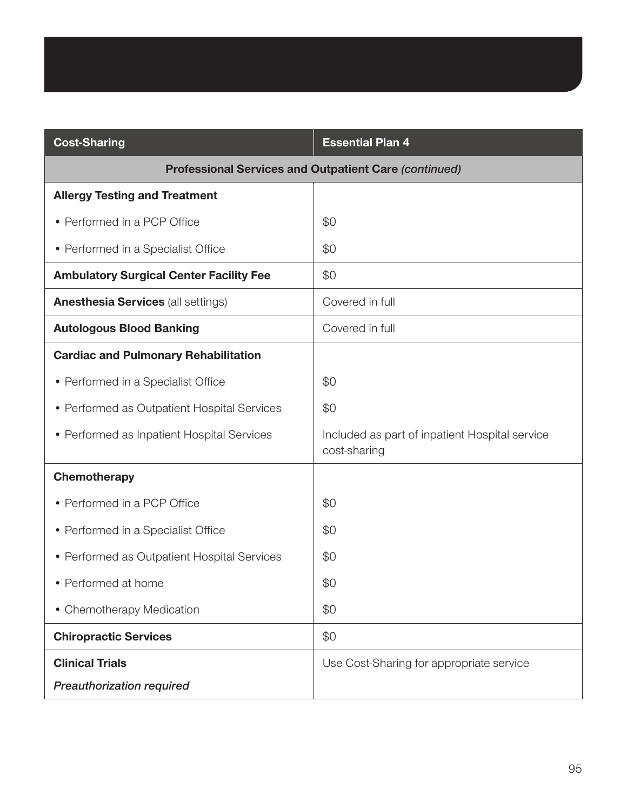| <b>Cost-Sharing</b>                                          | <b>Essential Plan 4</b>                                        |
|--------------------------------------------------------------|----------------------------------------------------------------|
| <b>Professional Services and Outpatient Care (continued)</b> |                                                                |
| <b>Allergy Testing and Treatment</b>                         |                                                                |
| • Performed in a PCP Office                                  | \$0                                                            |
| • Performed in a Specialist Office                           | \$0                                                            |
| <b>Ambulatory Surgical Center Facility Fee</b>               | \$0                                                            |
| <b>Anesthesia Services (all settings)</b>                    | Covered in full                                                |
| <b>Autologous Blood Banking</b>                              | Covered in full                                                |
| <b>Cardiac and Pulmonary Rehabilitation</b>                  |                                                                |
| • Performed in a Specialist Office                           | \$0                                                            |
| • Performed as Outpatient Hospital Services                  | \$0                                                            |
| • Performed as Inpatient Hospital Services                   | Included as part of inpatient Hospital service<br>cost-sharing |
| Chemotherapy                                                 |                                                                |
| • Performed in a PCP Office                                  | \$0                                                            |
| • Performed in a Specialist Office                           | \$0                                                            |
| • Performed as Outpatient Hospital Services                  | \$0                                                            |
| • Performed at home                                          | \$0                                                            |
| • Chemotherapy Medication                                    | \$0                                                            |
| <b>Chiropractic Services</b>                                 | \$0                                                            |
| <b>Clinical Trials</b>                                       | Use Cost-Sharing for appropriate service                       |
| Preauthorization required                                    |                                                                |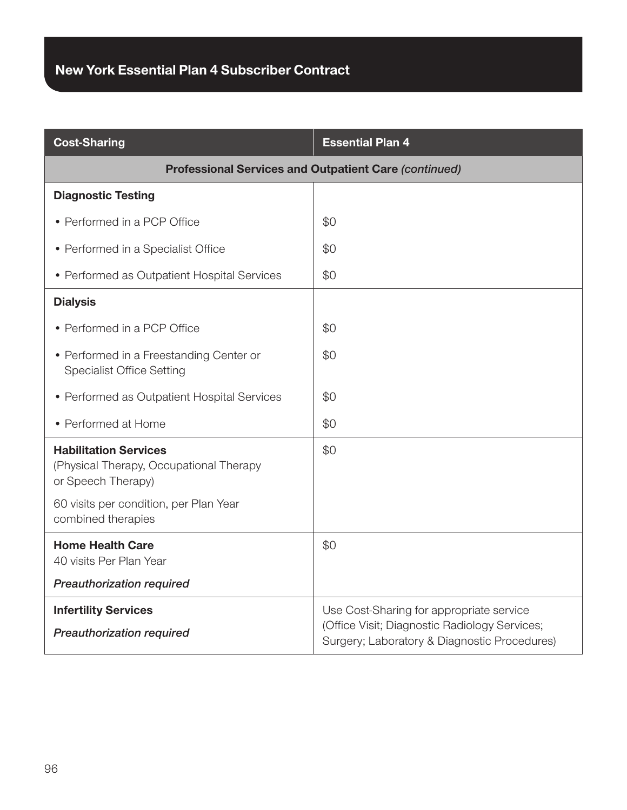| <b>Cost-Sharing</b>                                                                                                                                           | <b>Essential Plan 4</b>                                                                                                                   |  |
|---------------------------------------------------------------------------------------------------------------------------------------------------------------|-------------------------------------------------------------------------------------------------------------------------------------------|--|
| <b>Professional Services and Outpatient Care (continued)</b>                                                                                                  |                                                                                                                                           |  |
| <b>Diagnostic Testing</b>                                                                                                                                     |                                                                                                                                           |  |
| • Performed in a PCP Office                                                                                                                                   | \$0                                                                                                                                       |  |
| • Performed in a Specialist Office                                                                                                                            | \$0                                                                                                                                       |  |
| • Performed as Outpatient Hospital Services                                                                                                                   | \$0                                                                                                                                       |  |
| <b>Dialysis</b>                                                                                                                                               |                                                                                                                                           |  |
| • Performed in a PCP Office                                                                                                                                   | \$0                                                                                                                                       |  |
| • Performed in a Freestanding Center or<br><b>Specialist Office Setting</b>                                                                                   | \$0                                                                                                                                       |  |
| • Performed as Outpatient Hospital Services                                                                                                                   | \$0                                                                                                                                       |  |
| • Performed at Home                                                                                                                                           | \$0                                                                                                                                       |  |
| <b>Habilitation Services</b><br>(Physical Therapy, Occupational Therapy<br>or Speech Therapy)<br>60 visits per condition, per Plan Year<br>combined therapies | \$0                                                                                                                                       |  |
| <b>Home Health Care</b><br>40 visits Per Plan Year<br><b>Preauthorization required</b>                                                                        | \$0                                                                                                                                       |  |
| <b>Infertility Services</b><br><b>Preauthorization required</b>                                                                                               | Use Cost-Sharing for appropriate service<br>(Office Visit; Diagnostic Radiology Services;<br>Surgery; Laboratory & Diagnostic Procedures) |  |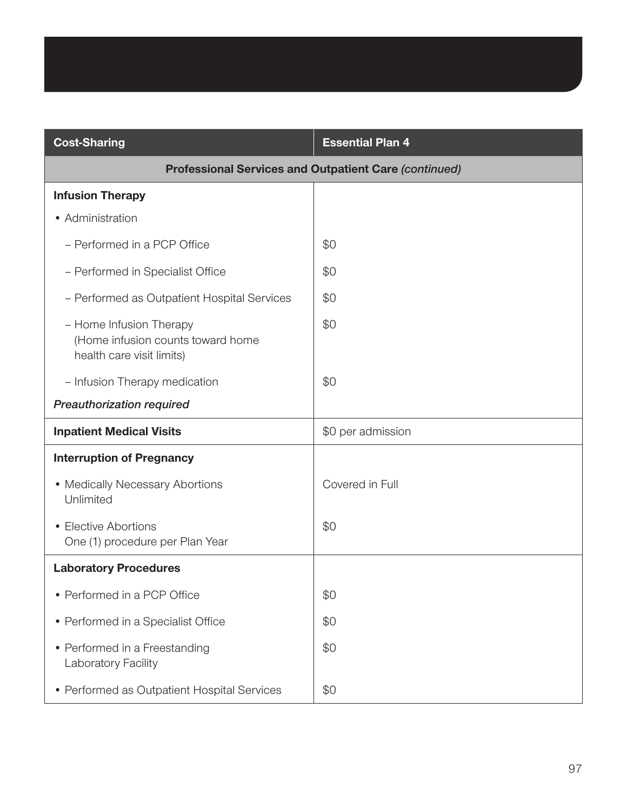| <b>Cost-Sharing</b>                                                                       | <b>Essential Plan 4</b> |
|-------------------------------------------------------------------------------------------|-------------------------|
| <b>Professional Services and Outpatient Care (continued)</b>                              |                         |
| <b>Infusion Therapy</b>                                                                   |                         |
| • Administration                                                                          |                         |
| - Performed in a PCP Office                                                               | \$0                     |
| - Performed in Specialist Office                                                          | \$0                     |
| - Performed as Outpatient Hospital Services                                               | \$0                     |
| - Home Infusion Therapy<br>(Home infusion counts toward home<br>health care visit limits) | \$0                     |
| - Infusion Therapy medication                                                             | \$0                     |
| <b>Preauthorization required</b>                                                          |                         |
| <b>Inpatient Medical Visits</b>                                                           | \$0 per admission       |
| <b>Interruption of Pregnancy</b>                                                          |                         |
| • Medically Necessary Abortions<br>Unlimited                                              | Covered in Full         |
| • Elective Abortions<br>One (1) procedure per Plan Year                                   | \$0                     |
| <b>Laboratory Procedures</b>                                                              |                         |
| • Performed in a PCP Office                                                               | \$0                     |
| • Performed in a Specialist Office                                                        | \$0                     |
| • Performed in a Freestanding<br>Laboratory Facility                                      | \$0                     |
| • Performed as Outpatient Hospital Services                                               | \$0                     |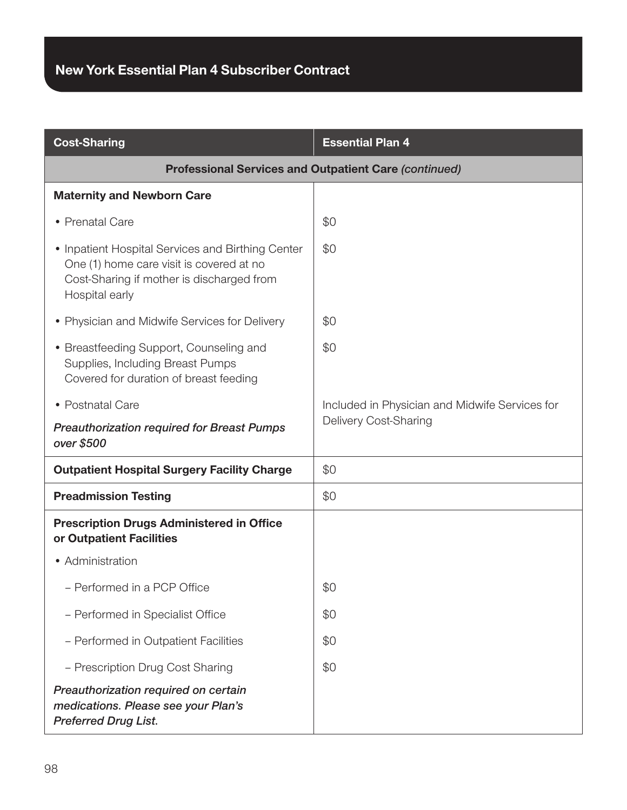| <b>Cost-Sharing</b>                                                                                                                                          | <b>Essential Plan 4</b>                        |
|--------------------------------------------------------------------------------------------------------------------------------------------------------------|------------------------------------------------|
| <b>Professional Services and Outpatient Care (continued)</b>                                                                                                 |                                                |
| <b>Maternity and Newborn Care</b>                                                                                                                            |                                                |
| • Prenatal Care                                                                                                                                              | \$0                                            |
| • Inpatient Hospital Services and Birthing Center<br>One (1) home care visit is covered at no<br>Cost-Sharing if mother is discharged from<br>Hospital early | \$0                                            |
| • Physician and Midwife Services for Delivery                                                                                                                | \$0                                            |
| • Breastfeeding Support, Counseling and<br>Supplies, Including Breast Pumps<br>Covered for duration of breast feeding                                        | \$0                                            |
| • Postnatal Care                                                                                                                                             | Included in Physician and Midwife Services for |
| <b>Preauthorization required for Breast Pumps</b><br>over \$500                                                                                              | Delivery Cost-Sharing                          |
| <b>Outpatient Hospital Surgery Facility Charge</b>                                                                                                           | \$0                                            |
| <b>Preadmission Testing</b>                                                                                                                                  | \$0                                            |
| <b>Prescription Drugs Administered in Office</b><br>or Outpatient Facilities                                                                                 |                                                |
| • Administration                                                                                                                                             |                                                |
| - Performed in a PCP Office                                                                                                                                  | \$0                                            |
| - Performed in Specialist Office                                                                                                                             | \$0                                            |
| - Performed in Outpatient Facilities                                                                                                                         | \$0                                            |
| - Prescription Drug Cost Sharing                                                                                                                             | \$0                                            |
| Preauthorization required on certain<br>medications. Please see your Plan's<br><b>Preferred Drug List.</b>                                                   |                                                |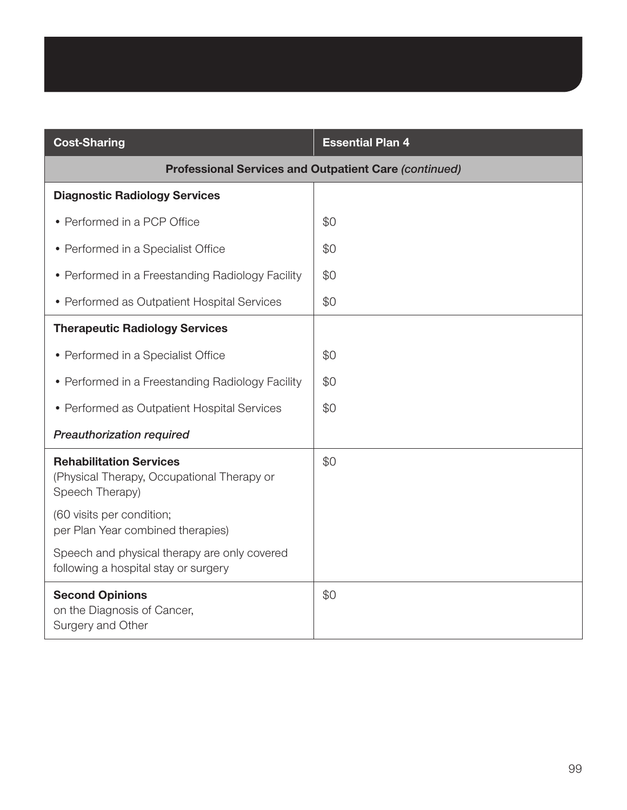| <b>Cost-Sharing</b>                                                                             | <b>Essential Plan 4</b> |
|-------------------------------------------------------------------------------------------------|-------------------------|
| <b>Professional Services and Outpatient Care (continued)</b>                                    |                         |
| <b>Diagnostic Radiology Services</b>                                                            |                         |
| • Performed in a PCP Office                                                                     | \$0                     |
| • Performed in a Specialist Office                                                              | \$0                     |
| • Performed in a Freestanding Radiology Facility                                                | \$0                     |
| • Performed as Outpatient Hospital Services                                                     | \$0                     |
| <b>Therapeutic Radiology Services</b>                                                           |                         |
| • Performed in a Specialist Office                                                              | \$0                     |
| • Performed in a Freestanding Radiology Facility                                                | \$0                     |
| • Performed as Outpatient Hospital Services                                                     | \$0                     |
| Preauthorization required                                                                       |                         |
| <b>Rehabilitation Services</b><br>(Physical Therapy, Occupational Therapy or<br>Speech Therapy) | \$0                     |
| (60 visits per condition;<br>per Plan Year combined therapies)                                  |                         |
| Speech and physical therapy are only covered<br>following a hospital stay or surgery            |                         |
| <b>Second Opinions</b><br>on the Diagnosis of Cancer,<br>Surgery and Other                      | \$0                     |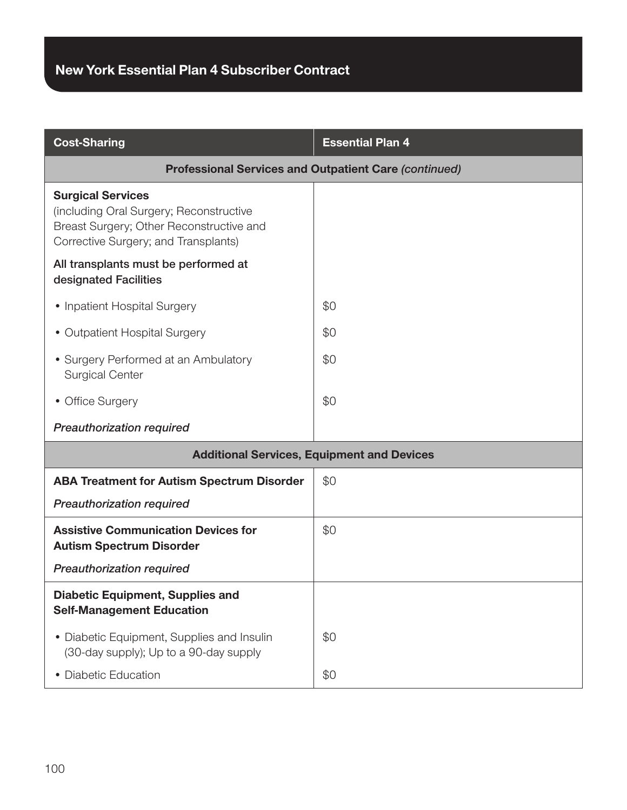| <b>Cost-Sharing</b>                                                                                                                                     | <b>Essential Plan 4</b> |
|---------------------------------------------------------------------------------------------------------------------------------------------------------|-------------------------|
| <b>Professional Services and Outpatient Care (continued)</b>                                                                                            |                         |
| <b>Surgical Services</b><br>(including Oral Surgery; Reconstructive<br>Breast Surgery; Other Reconstructive and<br>Corrective Surgery; and Transplants) |                         |
| All transplants must be performed at<br>designated Facilities                                                                                           |                         |
| • Inpatient Hospital Surgery                                                                                                                            | \$0                     |
| • Outpatient Hospital Surgery                                                                                                                           | \$0                     |
| • Surgery Performed at an Ambulatory<br><b>Surgical Center</b>                                                                                          | \$0                     |
| • Office Surgery                                                                                                                                        | \$0                     |
| <b>Preauthorization required</b>                                                                                                                        |                         |
| <b>Additional Services, Equipment and Devices</b>                                                                                                       |                         |
| <b>ABA Treatment for Autism Spectrum Disorder</b>                                                                                                       | \$0                     |
| <b>Preauthorization required</b>                                                                                                                        |                         |
| <b>Assistive Communication Devices for</b><br><b>Autism Spectrum Disorder</b>                                                                           | \$0                     |
| Preauthorization required                                                                                                                               |                         |
| <b>Diabetic Equipment, Supplies and</b><br><b>Self-Management Education</b>                                                                             |                         |
| • Diabetic Equipment, Supplies and Insulin<br>(30-day supply); Up to a 90-day supply                                                                    | \$0                     |
| • Diabetic Education                                                                                                                                    | \$0                     |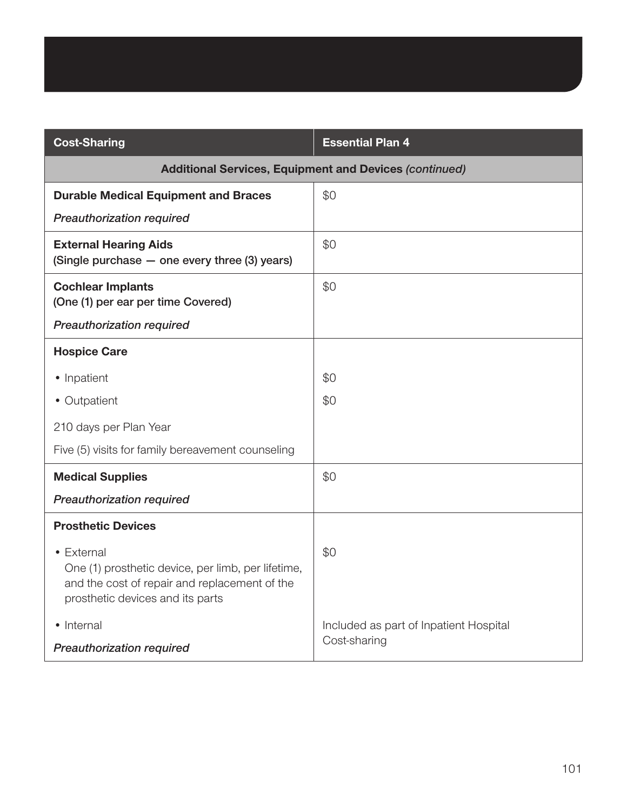| <b>Cost-Sharing</b>                                                                                                                                   | <b>Essential Plan 4</b>                |
|-------------------------------------------------------------------------------------------------------------------------------------------------------|----------------------------------------|
| <b>Additional Services, Equipment and Devices (continued)</b>                                                                                         |                                        |
| <b>Durable Medical Equipment and Braces</b>                                                                                                           | \$0                                    |
| <b>Preauthorization required</b>                                                                                                                      |                                        |
| <b>External Hearing Aids</b><br>(Single purchase - one every three (3) years)                                                                         | \$0                                    |
| <b>Cochlear Implants</b><br>(One (1) per ear per time Covered)                                                                                        | \$0                                    |
| <b>Preauthorization required</b>                                                                                                                      |                                        |
| <b>Hospice Care</b>                                                                                                                                   |                                        |
| • Inpatient                                                                                                                                           | \$0                                    |
| • Outpatient                                                                                                                                          | \$0                                    |
| 210 days per Plan Year                                                                                                                                |                                        |
| Five (5) visits for family bereavement counseling                                                                                                     |                                        |
| <b>Medical Supplies</b>                                                                                                                               | \$0                                    |
| Preauthorization required                                                                                                                             |                                        |
| <b>Prosthetic Devices</b>                                                                                                                             |                                        |
| • External<br>One (1) prosthetic device, per limb, per lifetime,<br>and the cost of repair and replacement of the<br>prosthetic devices and its parts | \$0                                    |
| • Internal                                                                                                                                            | Included as part of Inpatient Hospital |
| <b>Preauthorization required</b>                                                                                                                      | Cost-sharing                           |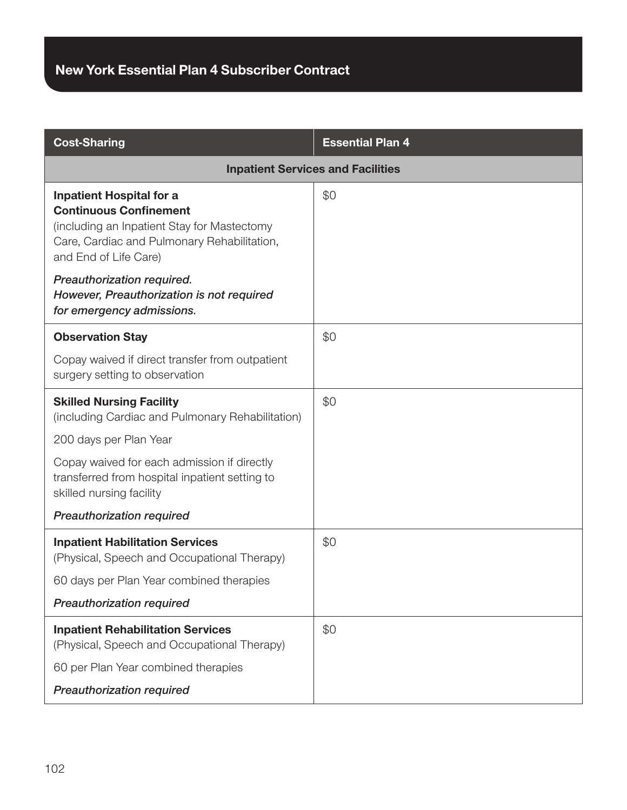| <b>Cost-Sharing</b>                                                                                                                                                                     | <b>Essential Plan 4</b> |
|-----------------------------------------------------------------------------------------------------------------------------------------------------------------------------------------|-------------------------|
| <b>Inpatient Services and Facilities</b>                                                                                                                                                |                         |
| <b>Inpatient Hospital for a</b><br><b>Continuous Confinement</b><br>(including an Inpatient Stay for Mastectomy<br>Care, Cardiac and Pulmonary Rehabilitation,<br>and End of Life Care) | \$0                     |
| Preauthorization required.<br>However, Preauthorization is not required<br>for emergency admissions.                                                                                    |                         |
| <b>Observation Stay</b>                                                                                                                                                                 | \$0                     |
| Copay waived if direct transfer from outpatient<br>surgery setting to observation                                                                                                       |                         |
| <b>Skilled Nursing Facility</b><br>(including Cardiac and Pulmonary Rehabilitation)                                                                                                     | \$0                     |
| 200 days per Plan Year                                                                                                                                                                  |                         |
| Copay waived for each admission if directly<br>transferred from hospital inpatient setting to<br>skilled nursing facility                                                               |                         |
| <b>Preauthorization required</b>                                                                                                                                                        |                         |
| <b>Inpatient Habilitation Services</b><br>(Physical, Speech and Occupational Therapy)                                                                                                   | \$0                     |
| 60 days per Plan Year combined therapies                                                                                                                                                |                         |
| <b>Preauthorization required</b>                                                                                                                                                        |                         |
| <b>Inpatient Rehabilitation Services</b><br>(Physical, Speech and Occupational Therapy)                                                                                                 | \$0                     |
| 60 per Plan Year combined therapies                                                                                                                                                     |                         |
| <b>Preauthorization required</b>                                                                                                                                                        |                         |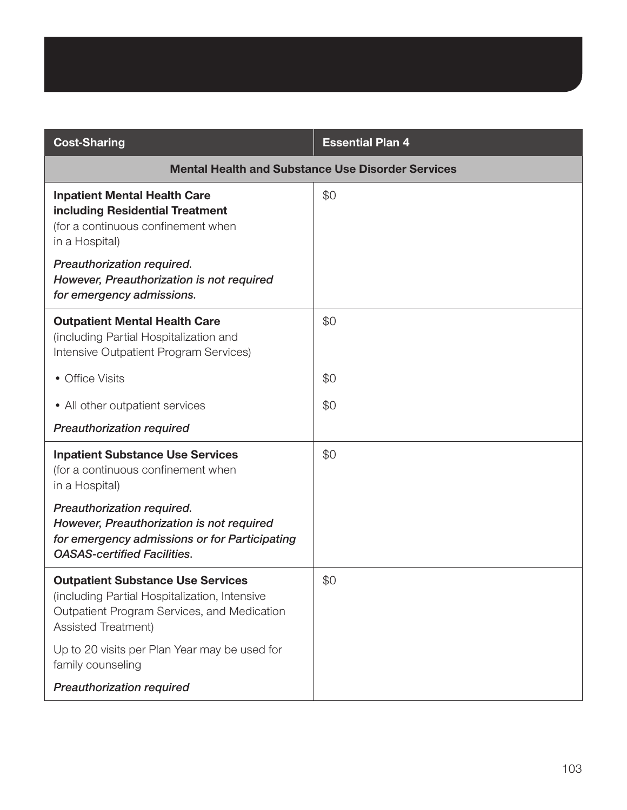| <b>Cost-Sharing</b>                                                                                                                                             | <b>Essential Plan 4</b> |
|-----------------------------------------------------------------------------------------------------------------------------------------------------------------|-------------------------|
| <b>Mental Health and Substance Use Disorder Services</b>                                                                                                        |                         |
| <b>Inpatient Mental Health Care</b><br>including Residential Treatment<br>(for a continuous confinement when<br>in a Hospital)                                  | \$0                     |
| Preauthorization required.<br>However, Preauthorization is not required<br>for emergency admissions.                                                            |                         |
| <b>Outpatient Mental Health Care</b><br>(including Partial Hospitalization and<br>Intensive Outpatient Program Services)                                        | \$0                     |
| • Office Visits                                                                                                                                                 | \$0                     |
| • All other outpatient services                                                                                                                                 | \$0                     |
| <b>Preauthorization required</b>                                                                                                                                |                         |
| <b>Inpatient Substance Use Services</b><br>(for a continuous confinement when<br>in a Hospital)                                                                 | \$0                     |
| Preauthorization required.<br>However, Preauthorization is not required<br>for emergency admissions or for Participating<br><b>OASAS-certified Facilities.</b>  |                         |
| <b>Outpatient Substance Use Services</b><br>(including Partial Hospitalization, Intensive<br>Outpatient Program Services, and Medication<br>Assisted Treatment) | \$0                     |
| Up to 20 visits per Plan Year may be used for<br>family counseling                                                                                              |                         |
| <b>Preauthorization required</b>                                                                                                                                |                         |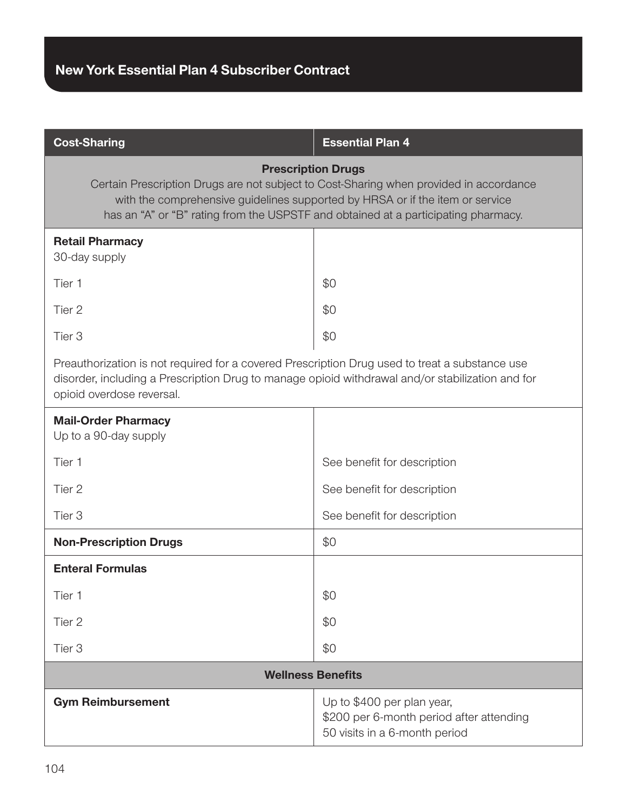| <b>Cost-Sharing</b>                                                                                                                                                                                                                                                                        | <b>Essential Plan 4</b>                                                                                 |  |
|--------------------------------------------------------------------------------------------------------------------------------------------------------------------------------------------------------------------------------------------------------------------------------------------|---------------------------------------------------------------------------------------------------------|--|
| <b>Prescription Drugs</b><br>Certain Prescription Drugs are not subject to Cost-Sharing when provided in accordance<br>with the comprehensive guidelines supported by HRSA or if the item or service<br>has an "A" or "B" rating from the USPSTF and obtained at a participating pharmacy. |                                                                                                         |  |
| <b>Retail Pharmacy</b><br>30-day supply                                                                                                                                                                                                                                                    |                                                                                                         |  |
| Tier 1                                                                                                                                                                                                                                                                                     | \$0                                                                                                     |  |
| Tier 2                                                                                                                                                                                                                                                                                     | \$0                                                                                                     |  |
| Tier 3                                                                                                                                                                                                                                                                                     | \$0                                                                                                     |  |
| Preauthorization is not required for a covered Prescription Drug used to treat a substance use<br>disorder, including a Prescription Drug to manage opioid withdrawal and/or stabilization and for<br>opioid overdose reversal.                                                            |                                                                                                         |  |
| <b>Mail-Order Pharmacy</b><br>Up to a 90-day supply                                                                                                                                                                                                                                        |                                                                                                         |  |
| Tier 1                                                                                                                                                                                                                                                                                     | See benefit for description                                                                             |  |
| Tier 2                                                                                                                                                                                                                                                                                     | See benefit for description                                                                             |  |
| Tier <sub>3</sub>                                                                                                                                                                                                                                                                          | See benefit for description                                                                             |  |
| <b>Non-Prescription Drugs</b>                                                                                                                                                                                                                                                              | \$0                                                                                                     |  |
| <b>Enteral Formulas</b>                                                                                                                                                                                                                                                                    |                                                                                                         |  |
| Tier 1                                                                                                                                                                                                                                                                                     | \$0                                                                                                     |  |
| Tier 2                                                                                                                                                                                                                                                                                     | \$0                                                                                                     |  |
| Tier <sub>3</sub>                                                                                                                                                                                                                                                                          | \$0                                                                                                     |  |
| <b>Wellness Benefits</b>                                                                                                                                                                                                                                                                   |                                                                                                         |  |
| <b>Gym Reimbursement</b>                                                                                                                                                                                                                                                                   | Up to \$400 per plan year,<br>\$200 per 6-month period after attending<br>50 visits in a 6-month period |  |